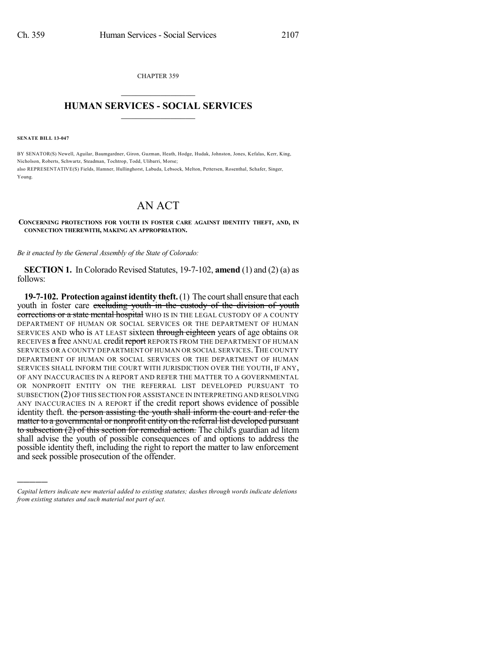CHAPTER 359  $\overline{\phantom{a}}$  . The set of the set of the set of the set of the set of the set of the set of the set of the set of the set of the set of the set of the set of the set of the set of the set of the set of the set of the set o

## **HUMAN SERVICES - SOCIAL SERVICES**  $\frac{1}{2}$  ,  $\frac{1}{2}$  ,  $\frac{1}{2}$  ,  $\frac{1}{2}$  ,  $\frac{1}{2}$  ,  $\frac{1}{2}$  ,  $\frac{1}{2}$

**SENATE BILL 13-047**

)))))

BY SENATOR(S) Newell, Aguilar, Baumgardner, Giron, Guzman, Heath, Hodge, Hudak, Johnston, Jones, Kefalas, Kerr, King, Nicholson, Roberts, Schwartz, Steadman, Tochtrop, Todd, Ulibarri, Morse; also REPRESENTATIVE(S) Fields, Hamner, Hullinghorst, Labuda, Lebsock, Melton, Pettersen, Rosenthal, Schafer, Singer, Young.

## AN ACT

## **CONCERNING PROTECTIONS FOR YOUTH IN FOSTER CARE AGAINST IDENTITY THEFT, AND, IN CONNECTION THEREWITH, MAKING AN APPROPRIATION.**

*Be it enacted by the General Assembly of the State of Colorado:*

**SECTION 1.** In Colorado Revised Statutes, 19-7-102, **amend** (1) and (2) (a) as follows:

**19-7-102. Protection against identity theft.** (1) The court shall ensure that each youth in foster care excluding youth in the custody of the division of youth corrections or a state mental hospital WHO IS IN THE LEGAL CUSTODY OF A COUNTY DEPARTMENT OF HUMAN OR SOCIAL SERVICES OR THE DEPARTMENT OF HUMAN SERVICES AND who is AT LEAST sixteen through eighteen years of age obtains OR RECEIVES a free ANNUAL credit report REPORTS FROM THE DEPARTMENT OF HUMAN SERVICES OR A COUNTY DEPARTMENT OF HUMAN OR SOCIAL SERVICES.THE COUNTY DEPARTMENT OF HUMAN OR SOCIAL SERVICES OR THE DEPARTMENT OF HUMAN SERVICES SHALL INFORM THE COURT WITH JURISDICTION OVER THE YOUTH, IF ANY, OF ANY INACCURACIES IN A REPORT AND REFER THE MATTER TO A GOVERNMENTAL OR NONPROFIT ENTITY ON THE REFERRAL LIST DEVELOPED PURSUANT TO SUBSECTION (2)OF THIS SECTION FOR ASSISTANCE IN INTERPRETING AND RESOLVING ANY INACCURACIES IN A REPORT if the credit report shows evidence of possible identity theft. the person assisting the youth shall inform the court and refer the matter to a governmental or nonprofit entity on the referral list developed pursuant to subsection (2) of this section for remedial action. The child's guardian ad litem shall advise the youth of possible consequences of and options to address the possible identity theft, including the right to report the matter to law enforcement and seek possible prosecution of the offender.

*Capital letters indicate new material added to existing statutes; dashes through words indicate deletions from existing statutes and such material not part of act.*